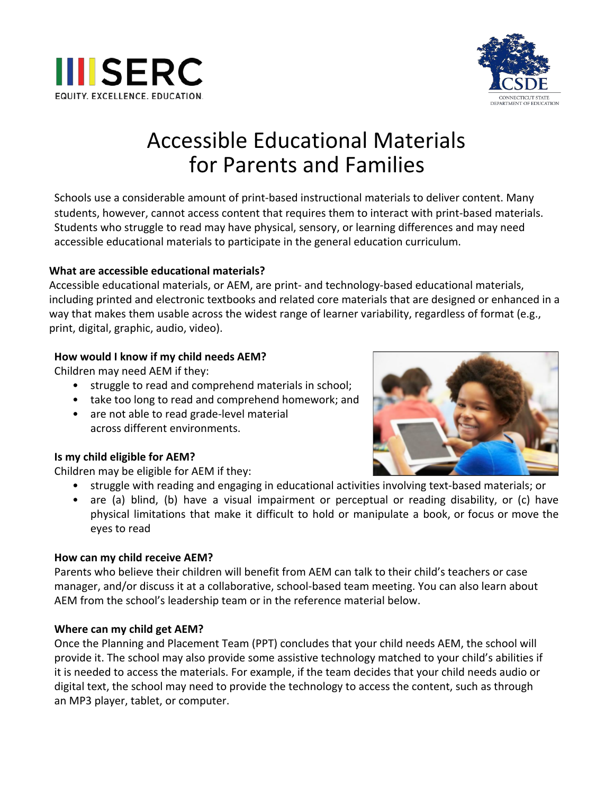



# Accessible Educational Materials for Parents and Families

Schools use a considerable amount of print-based instructional materials to deliver content. Many students, however, cannot access content that requires them to interact with print-based materials. Students who struggle to read may have physical, sensory, or learning differences and may need accessible educational materials to participate in the general education curriculum.

# **What are accessible educational materials?**

Accessible educational materials, or AEM, are print- and technology-based educational materials, including printed and electronic textbooks and related core materials that are designed or enhanced in a way that makes them usable across the widest range of learner variability, regardless of format (e.g., print, digital, graphic, audio, video).

## **How would I know if my child needs AEM?**

Children may need AEM if they:

- struggle to read and comprehend materials in school;
- take too long to read and comprehend homework; and
- are not able to read grade-level material across different environments.

#### **Is my child eligible for AEM?**

Children may be eligible for AEM if they:

- struggle with reading and engaging in educational activities involving text-based materials; or
- are (a) blind, (b) have a visual impairment or perceptual or reading disability, or (c) have physical limitations that make it difficult to hold or manipulate a book, or focus or move the eyes to read

#### **How can my child receive AEM?**

Parents who believe their children will benefit from AEM can talk to their child's teachers or case manager, and/or discuss it at a collaborative, school-based team meeting. You can also learn about AEM from the school's leadership team or in the reference material below.

#### **Where can my child get AEM?**

Once the Planning and Placement Team (PPT) concludes that your child needs AEM, the school will provide it. The school may also provide some assistive technology matched to your child's abilities if it is needed to access the materials. For example, if the team decides that your child needs audio or digital text, the school may need to provide the technology to access the content, such as through an MP3 player, tablet, or computer.